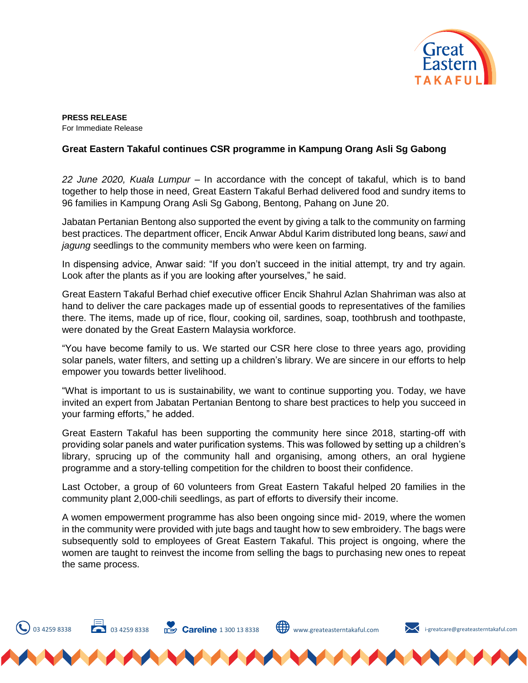

**PRESS RELEASE**  For Immediate Release

## **Great Eastern Takaful continues CSR programme in Kampung Orang Asli Sg Gabong**

*22 June 2020, Kuala Lumpur* – In accordance with the concept of takaful, which is to band together to help those in need, Great Eastern Takaful Berhad delivered food and sundry items to 96 families in Kampung Orang Asli Sg Gabong, Bentong, Pahang on June 20.

Jabatan Pertanian Bentong also supported the event by giving a talk to the community on farming best practices. The department officer, Encik Anwar Abdul Karim distributed long beans, *sawi* and *jagung* seedlings to the community members who were keen on farming.

In dispensing advice, Anwar said: "If you don't succeed in the initial attempt, try and try again. Look after the plants as if you are looking after yourselves," he said.

Great Eastern Takaful Berhad chief executive officer Encik Shahrul Azlan Shahriman was also at hand to deliver the care packages made up of essential goods to representatives of the families there. The items, made up of rice, flour, cooking oil, sardines, soap, toothbrush and toothpaste, were donated by the Great Eastern Malaysia workforce.

"You have become family to us. We started our CSR here close to three years ago, providing solar panels, water filters, and setting up a children's library. We are sincere in our efforts to help empower you towards better livelihood.

"What is important to us is sustainability, we want to continue supporting you. Today, we have invited an expert from Jabatan Pertanian Bentong to share best practices to help you succeed in your farming efforts," he added.

Great Eastern Takaful has been supporting the community here since 2018, starting-off with providing solar panels and water purification systems. This was followed by setting up a children's library, sprucing up of the community hall and organising, among others, an oral hygiene programme and a story-telling competition for the children to boost their confidence.

Last October, a group of 60 volunteers from Great Eastern Takaful helped 20 families in the community plant 2,000-chili seedlings, as part of efforts to diversify their income.

A women empowerment programme has also been ongoing since mid- 2019, where the women in the community were provided with jute bags and taught how to sew embroidery. The bags were subsequently sold to employees of Great Eastern Takaful. This project is ongoing, where the women are taught to reinvest the income from selling the bags to purchasing new ones to repeat the same process.